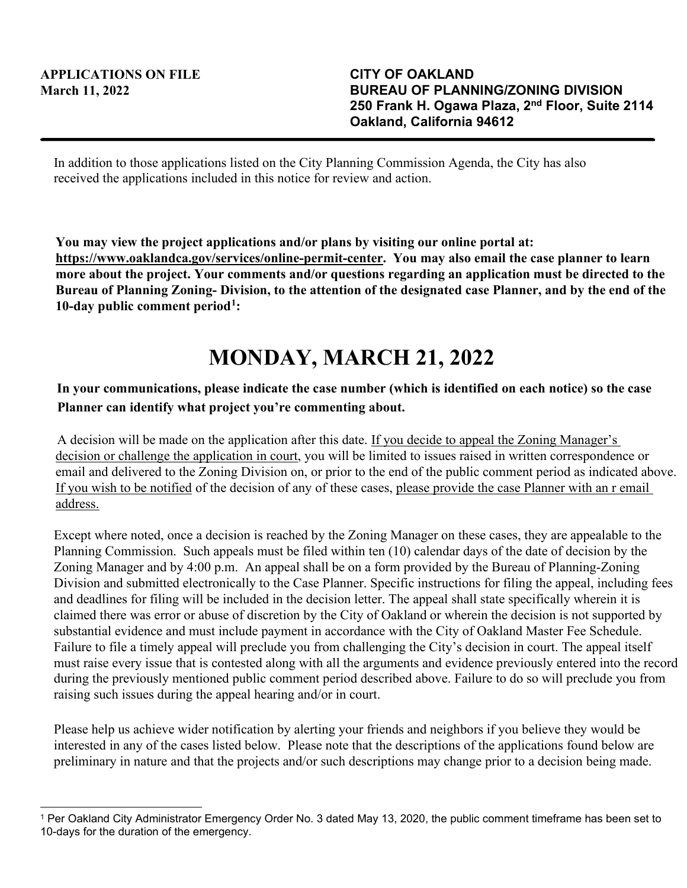In addition to those applications listed on the City Planning Commission Agenda, the City has also received the applications included in this notice for review and action.

**You may view the project applications and/or plans by visiting our online portal at: https://www.oaklandca.gov/services/online-permit-center. You may also email the case planner to learn more about the project. Your comments and/or questions regarding an application must be directed to the Bureau of Planning Zoning- Division, to the attention of the designated case Planner, and by the end of the 10-day public comment period[1](#page-0-0):**

## **MONDAY, MARCH 21, 2022**

## **In your communications, please indicate the case number (which is identified on each notice) so the case Planner can identify what project you're commenting about.**

A decision will be made on the application after this date. If you decide to appeal the Zoning Manager's decision or challenge the application in court, you will be limited to issues raised in written correspondence or email and delivered to the Zoning Division on, or prior to the end of the public comment period as indicated above. If you wish to be notified of the decision of any of these cases, please provide the case Planner with an r email address.

Except where noted, once a decision is reached by the Zoning Manager on these cases, they are appealable to the Planning Commission. Such appeals must be filed within ten (10) calendar days of the date of decision by the Zoning Manager and by 4:00 p.m. An appeal shall be on a form provided by the Bureau of Planning-Zoning Division and submitted electronically to the Case Planner. Specific instructions for filing the appeal, including fees and deadlines for filing will be included in the decision letter. The appeal shall state specifically wherein it is claimed there was error or abuse of discretion by the City of Oakland or wherein the decision is not supported by substantial evidence and must include payment in accordance with the City of Oakland Master Fee Schedule. Failure to file a timely appeal will preclude you from challenging the City's decision in court. The appeal itself must raise every issue that is contested along with all the arguments and evidence previously entered into the record during the previously mentioned public comment period described above. Failure to do so will preclude you from raising such issues during the appeal hearing and/or in court.

Please help us achieve wider notification by alerting your friends and neighbors if you believe they would be interested in any of the cases listed below. Please note that the descriptions of the applications found below are preliminary in nature and that the projects and/or such descriptions may change prior to a decision being made.

<span id="page-0-0"></span><sup>1</sup> Per Oakland City Administrator Emergency Order No. 3 dated May 13, 2020, the public comment timeframe has been set to 10-days for the duration of the emergency.